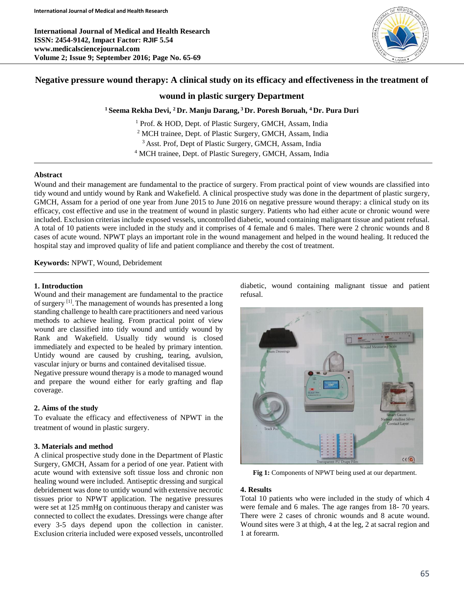**International Journal of Medical and Health Research ISSN: 2454-9142, Impact Factor: RJIF 5.54 www.medicalsciencejournal.com Volume 2; Issue 9; September 2016; Page No. 65-69**



# **Negative pressure wound therapy: A clinical study on its efficacy and effectiveness in the treatment of**

## **wound in plastic surgery Department**

**<sup>1</sup> Seema Rekha Devi, <sup>2</sup> Dr. Manju Darang, <sup>3</sup> Dr. Poresh Boruah, <sup>4</sup> Dr. Pura Duri**

<sup>1</sup> Prof. & HOD, Dept. of Plastic Surgery, GMCH, Assam, India <sup>2</sup> MCH trainee, Dept. of Plastic Surgery, GMCH, Assam, India <sup>3</sup> Asst. Prof, Dept of Plastic Surgery, GMCH, Assam, India <sup>4</sup> MCH trainee, Dept. of Plastic Suregery, GMCH, Assam, India

### **Abstract**

Wound and their management are fundamental to the practice of surgery. From practical point of view wounds are classified into tidy wound and untidy wound by Rank and Wakefield. A clinical prospective study was done in the department of plastic surgery, GMCH, Assam for a period of one year from June 2015 to June 2016 on negative pressure wound therapy: a clinical study on its efficacy, cost effective and use in the treatment of wound in plastic surgery. Patients who had either acute or chronic wound were included. Exclusion criterias include exposed vessels, uncontrolled diabetic, wound containing malignant tissue and patient refusal. A total of 10 patients were included in the study and it comprises of 4 female and 6 males. There were 2 chronic wounds and 8 cases of acute wound. NPWT plays an important role in the wound management and helped in the wound healing. It reduced the hospital stay and improved quality of life and patient compliance and thereby the cost of treatment.

**Keywords:** NPWT, Wound, Debridement

### **1. Introduction**

Wound and their management are fundamental to the practice of surgery <sup>[1]</sup>. The management of wounds has presented a long standing challenge to health care practitioners and need various methods to achieve healing. From practical point of view wound are classified into tidy wound and untidy wound by Rank and Wakefield. Usually tidy wound is closed immediately and expected to be healed by primary intention. Untidy wound are caused by crushing, tearing, avulsion, vascular injury or burns and contained devitalised tissue.

Negative pressure wound therapy is a mode to managed wound and prepare the wound either for early grafting and flap coverage.

### **2. Aims of the study**

To evaluate the efficacy and effectiveness of NPWT in the treatment of wound in plastic surgery.

### **3. Materials and method**

A clinical prospective study done in the Department of Plastic Surgery, GMCH, Assam for a period of one year. Patient with acute wound with extensive soft tissue loss and chronic non healing wound were included. Antiseptic dressing and surgical debridement was done to untidy wound with extensive necrotic tissues prior to NPWT application. The negative pressures were set at 125 mmHg on continuous therapy and canister was connected to collect the exudates. Dressings were change after every 3-5 days depend upon the collection in canister. Exclusion criteria included were exposed vessels, uncontrolled

diabetic, wound containing malignant tissue and patient refusal.



**Fig 1:** Components of NPWT being used at our department.

### **4. Results**

Total 10 patients who were included in the study of which 4 were female and 6 males. The age ranges from 18- 70 years. There were 2 cases of chronic wounds and 8 acute wound. Wound sites were 3 at thigh, 4 at the leg, 2 at sacral region and 1 at forearm.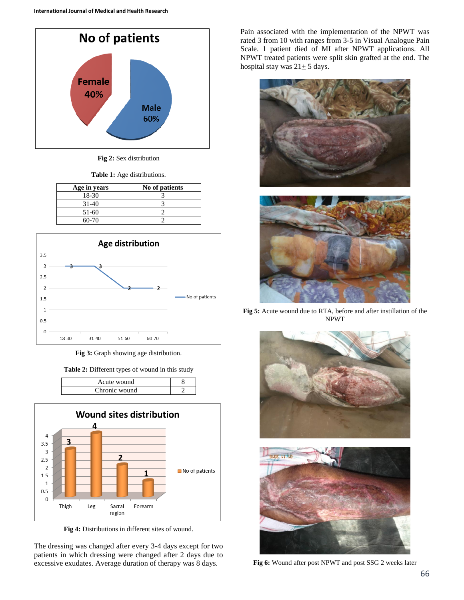

**Fig 2:** Sex distribution

**Table 1:** Age distributions.

| Age in years | No of patients |
|--------------|----------------|
| 18-30        |                |
| 31-40        |                |
| 51-60        |                |
| $60-70$      |                |



**Fig 3:** Graph showing age distribution.

**Table 2:** Different types of wound in this study

| Acute wound   |  |
|---------------|--|
| Chronic wound |  |



**Fig 4:** Distributions in different sites of wound.

The dressing was changed after every 3-4 days except for two patients in which dressing were changed after 2 days due to excessive exudates. Average duration of therapy was 8 days.

Pain associated with the implementation of the NPWT was rated 3 from 10 with ranges from 3-5 in Visual Analogue Pain Scale. 1 patient died of MI after NPWT applications. All NPWT treated patients were split skin grafted at the end. The hospital stay was  $21 \pm 5$  days.





**Fig 5:** Acute wound due to RTA, before and after instillation of the NPWT





**Fig 6:** Wound after post NPWT and post SSG 2 weeks later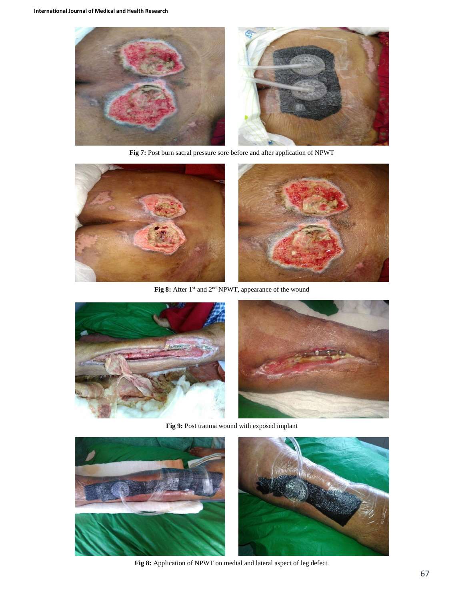

**Fig 7:** Post burn sacral pressure sore before and after application of NPWT



Fig 8: After 1<sup>st</sup> and 2<sup>nd</sup> NPWT, appearance of the wound



**Fig 9:** Post trauma wound with exposed implant



**Fig 8:** Application of NPWT on medial and lateral aspect of leg defect.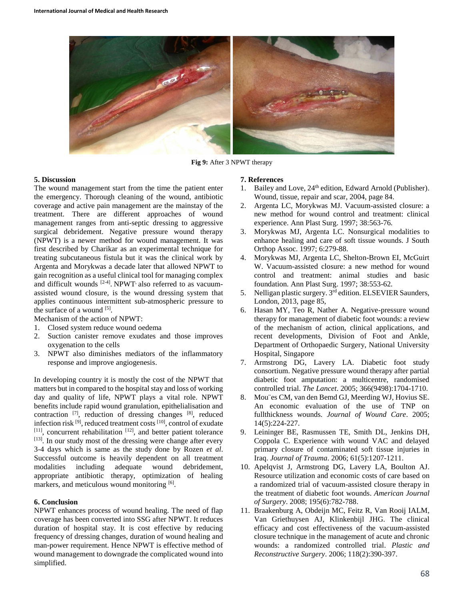

**Fig 9:** After 3 NPWT therapy

### **5. Discussion**

The wound management start from the time the patient enter the emergency. Thorough cleaning of the wound, antibiotic coverage and active pain management are the mainstay of the treatment. There are different approaches of wound management ranges from anti-septic dressing to aggressive surgical debridement. Negative pressure wound therapy (NPWT) is a newer method for wound management. It was first described by Charikar as an experimental technique for treating subcutaneous fistula but it was the clinical work by Argenta and Morykwas a decade later that allowed NPWT to gain recognition as a useful clinical tool for managing complex and difficult wounds <sup>[2-4]</sup>. NPWT<sup>,</sup> also referred to as vacuumassisted wound closure, is the wound dressing system that applies continuous intermittent sub-atmospheric pressure to the surface of a wound  $[5]$ .

Mechanism of the action of NPWT:

- 1. Closed system reduce wound oedema
- 2. Suction canister remove exudates and those improves oxygenation to the cells
- 3. NPWT also diminishes mediators of the inflammatory response and improve angiogenesis.

In developing country it is mostly the cost of the NPWT that matters but in compared to the hospital stay and loss of working day and quality of life, NPWT plays a vital role. NPWT benefits include rapid wound granulation, epithelialisation and contraction [7], reduction of dressing changes [8], reduced infection risk [9], reduced treatment costs [10], control of exudate  $[11]$ , concurrent rehabilitation  $[12]$ , and better patient tolerance [13]. In our study most of the dressing were change after every 3-4 days which is same as the study done by Rozen *et al*. Successful outcome is heavily dependent on all treatment modalities including adequate wound debridement, appropriate antibiotic therapy, optimization of healing markers, and meticulous wound monitoring [6].

### **6. Conclusion**

NPWT enhances process of wound healing. The need of flap coverage has been converted into SSG after NPWT. It reduces duration of hospital stay. It is cost effective by reducing frequency of dressing changes, duration of wound healing and man-power requirement. Hence NPWT is effective method of wound management to downgrade the complicated wound into simplified.

#### **7. References**

- 1. Bailey and Love, 24<sup>th</sup> edition, Edward Arnold (Publisher). Wound, tissue, repair and scar, 2004, page 84.
- 2. Argenta LC, Morykwas MJ. Vacuum-assisted closure: a new method for wound control and treatment: clinical experience. Ann Plast Surg. 1997; 38:563-76.
- 3. Morykwas MJ, Argenta LC. Nonsurgical modalities to enhance healing and care of soft tissue wounds. J South Orthop Assoc. 1997; 6:279-88.
- 4. Morykwas MJ, Argenta LC, Shelton-Brown EI, McGuirt W. Vacuum-assisted closure: a new method for wound control and treatment: animal studies and basic foundation. Ann Plast Surg. 1997; 38:553-62.
- 5. Nelligan plastic surgery. 3<sup>rd</sup> edition. ELSEVIER Saunders, London, 2013, page 85,
- 6. Hasan MY, Teo R, Nather A. Negative-pressure wound therapy for management of diabetic foot wounds: a review of the mechanism of action, clinical applications, and recent developments, Division of Foot and Ankle, Department of Orthopaedic Surgery, National University Hospital, Singapore
- 7. Armstrong DG, Lavery LA. Diabetic foot study consortium. Negative pressure wound therapy after partial diabetic foot amputation: a multicentre, randomised controlled trial. *The Lancet*. 2005; 366(9498):1704-1710.
- 8. Mou¨es CM, van den Bemd GJ, Meerding WJ, Hovius SE. An economic evaluation of the use of TNP on fullthickness wounds. *Journal of Wound Care*. 2005; 14(5):224-227.
- 9. Leininger BE, Rasmussen TE, Smith DL, Jenkins DH, Coppola C. Experience with wound VAC and delayed primary closure of contaminated soft tissue injuries in Iraq. *Journal of Trauma*. 2006; 61(5):1207-1211.
- 10. Apelqvist J, Armstrong DG, Lavery LA, Boulton AJ. Resource utilization and economic costs of care based on a randomized trial of vacuum-assisted closure therapy in the treatment of diabetic foot wounds. *American Journal of Surgery*. 2008; 195(6):782-788.
- 11. Braakenburg A, Obdeijn MC, Feitz R, Van Rooij IALM, Van Griethuysen AJ, Klinkenbijl JHG. The clinical efficacy and cost effectiveness of the vacuum-assisted closure technique in the management of acute and chronic wounds: a randomized controlled trial. *Plastic and Reconstructive Surgery*. 2006; 118(2):390-397.